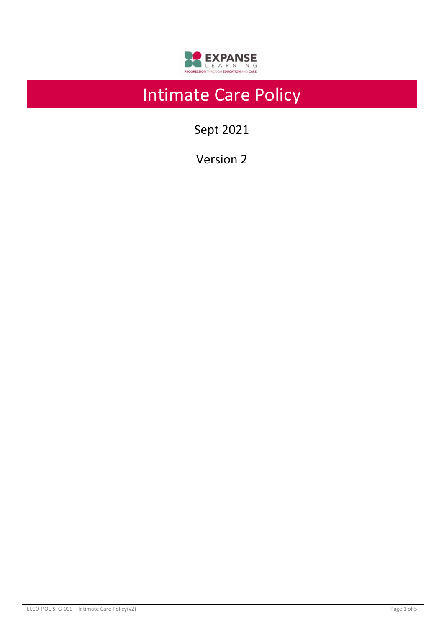

# Intimate Care Policy

Sept 2021

Version 2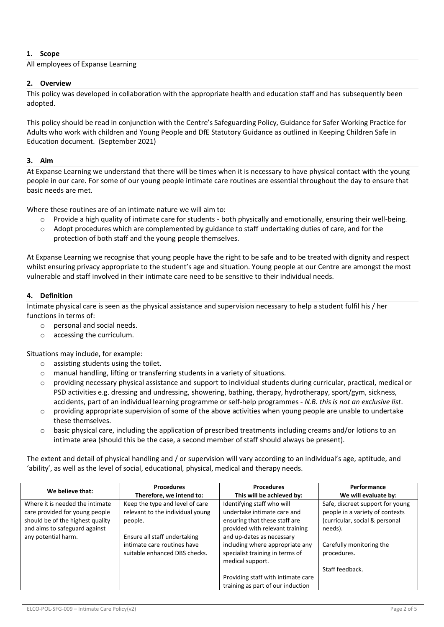# **1. Scope**

All employees of Expanse Learning

## **2. Overview**

This policy was developed in collaboration with the appropriate health and education staff and has subsequently been adopted.

This policy should be read in conjunction with the Centre's Safeguarding Policy, Guidance for Safer Working Practice for Adults who work with children and Young People and DfE Statutory Guidance as outlined in Keeping Children Safe in Education document. (September 2021)

#### **3. Aim**

At Expanse Learning we understand that there will be times when it is necessary to have physical contact with the young people in our care. For some of our young people intimate care routines are essential throughout the day to ensure that basic needs are met.

Where these routines are of an intimate nature we will aim to:

- $\circ$  Provide a high quality of intimate care for students both physically and emotionally, ensuring their well-being.
- $\circ$  Adopt procedures which are complemented by guidance to staff undertaking duties of care, and for the protection of both staff and the young people themselves.

At Expanse Learning we recognise that young people have the right to be safe and to be treated with dignity and respect whilst ensuring privacy appropriate to the student's age and situation. Young people at our Centre are amongst the most vulnerable and staff involved in their intimate care need to be sensitive to their individual needs.

## **4. Definition**

Intimate physical care is seen as the physical assistance and supervision necessary to help a student fulfil his / her functions in terms of:

- o personal and social needs.
- o accessing the curriculum.

Situations may include, for example:

- o assisting students using the toilet.
- o manual handling, lifting or transferring students in a variety of situations.
- o providing necessary physical assistance and support to individual students during curricular, practical, medical or PSD activities e.g. dressing and undressing, showering, bathing, therapy, hydrotherapy, sport/gym, sickness, accidents, part of an individual learning programme or self-help programmes - *N.B. this is not an exclusive list*.
- providing appropriate supervision of some of the above activities when young people are unable to undertake these themselves.
- basic physical care, including the application of prescribed treatments including creams and/or lotions to an intimate area (should this be the case, a second member of staff should always be present).

The extent and detail of physical handling and / or supervision will vary according to an individual's age, aptitude, and 'ability', as well as the level of social, educational, physical, medical and therapy needs.

| We believe that:                                                                                                                       | <b>Procedures</b><br>Therefore, we intend to:                                                | <b>Procedures</b><br>This will be achieved by:                                                                                | Performance<br>We will evaluate by:                                                                              |
|----------------------------------------------------------------------------------------------------------------------------------------|----------------------------------------------------------------------------------------------|-------------------------------------------------------------------------------------------------------------------------------|------------------------------------------------------------------------------------------------------------------|
| Where it is needed the intimate<br>care provided for young people<br>should be of the highest quality<br>and aims to safeguard against | Keep the type and level of care<br>relevant to the individual young<br>people.               | Identifying staff who will<br>undertake intimate care and<br>ensuring that these staff are<br>provided with relevant training | Safe, discreet support for young<br>people in a variety of contexts<br>(curricular, social & personal<br>needs). |
| any potential harm.                                                                                                                    | Ensure all staff undertaking<br>intimate care routines have<br>suitable enhanced DBS checks. | and up-dates as necessary<br>including where appropriate any<br>specialist training in terms of<br>medical support.           | Carefully monitoring the<br>procedures.                                                                          |
|                                                                                                                                        |                                                                                              | Providing staff with intimate care<br>training as part of our induction                                                       | Staff feedback.                                                                                                  |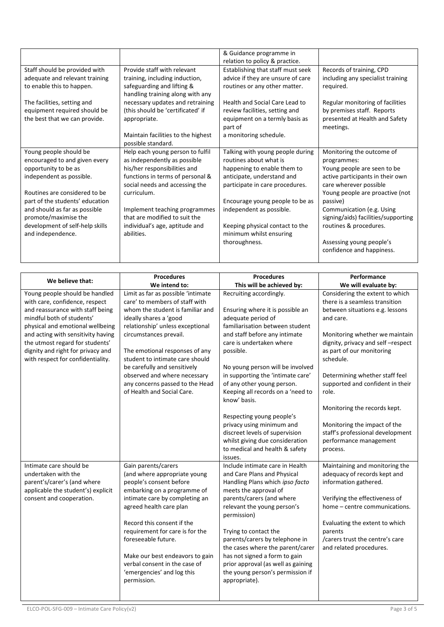|                                 |                                    | & Guidance programme in           |                                     |
|---------------------------------|------------------------------------|-----------------------------------|-------------------------------------|
|                                 |                                    | relation to policy & practice.    |                                     |
| Staff should be provided with   | Provide staff with relevant        | Establishing that staff must seek | Records of training, CPD            |
| adequate and relevant training  | training, including induction,     | advice if they are unsure of care | including any specialist training   |
| to enable this to happen.       | safeguarding and lifting &         | routines or any other matter.     | required.                           |
|                                 | handling training along with any   |                                   |                                     |
| The facilities, setting and     | necessary updates and retraining   | Health and Social Care Lead to    | Regular monitoring of facilities    |
| equipment required should be    | (this should be 'certificated' if  | review facilities, setting and    | by premises staff. Reports          |
| the best that we can provide.   | appropriate.                       | equipment on a termly basis as    | presented at Health and Safety      |
|                                 |                                    | part of                           | meetings.                           |
|                                 | Maintain facilities to the highest | a monitoring schedule.            |                                     |
|                                 | possible standard.                 |                                   |                                     |
| Young people should be          | Help each young person to fulfil   | Talking with young people during  | Monitoring the outcome of           |
| encouraged to and given every   | as independently as possible       | routines about what is            | programmes:                         |
| opportunity to be as            | his/her responsibilities and       | happening to enable them to       | Young people are seen to be         |
| independent as possible.        | functions in terms of personal &   | anticipate, understand and        | active participants in their own    |
|                                 | social needs and accessing the     | participate in care procedures.   | care wherever possible              |
| Routines are considered to be   | curriculum.                        |                                   | Young people are proactive (not     |
| part of the students' education |                                    | Encourage young people to be as   | passive)                            |
| and should as far as possible   | Implement teaching programmes      | independent as possible.          | Communication (e.g. Using           |
| promote/maximise the            | that are modified to suit the      |                                   | signing/aids) facilities/supporting |
| development of self-help skills | individual's age, aptitude and     | Keeping physical contact to the   | routines & procedures.              |
| and independence.               | abilities.                         | minimum whilst ensuring           |                                     |
|                                 |                                    | thoroughness.                     | Assessing young people's            |
|                                 |                                    |                                   | confidence and happiness.           |
|                                 |                                    |                                   |                                     |

|                                                                                                                                                                                                                                                                                                                          | <b>Procedures</b>                                                                                                                                                                                                                                                                                                                                                                                      | <b>Procedures</b>                                                                                                                                                                                                                                                                                                                                                                                                                                                                                                                      | Performance                                                                                                                                                                                                                                                                                                                                                                                                                                                 |  |
|--------------------------------------------------------------------------------------------------------------------------------------------------------------------------------------------------------------------------------------------------------------------------------------------------------------------------|--------------------------------------------------------------------------------------------------------------------------------------------------------------------------------------------------------------------------------------------------------------------------------------------------------------------------------------------------------------------------------------------------------|----------------------------------------------------------------------------------------------------------------------------------------------------------------------------------------------------------------------------------------------------------------------------------------------------------------------------------------------------------------------------------------------------------------------------------------------------------------------------------------------------------------------------------------|-------------------------------------------------------------------------------------------------------------------------------------------------------------------------------------------------------------------------------------------------------------------------------------------------------------------------------------------------------------------------------------------------------------------------------------------------------------|--|
| We believe that:                                                                                                                                                                                                                                                                                                         | We intend to:                                                                                                                                                                                                                                                                                                                                                                                          | This will be achieved by:                                                                                                                                                                                                                                                                                                                                                                                                                                                                                                              | We will evaluate by:                                                                                                                                                                                                                                                                                                                                                                                                                                        |  |
| Young people should be handled<br>with care, confidence, respect<br>and reassurance with staff being<br>mindful both of students'<br>physical and emotional wellbeing<br>and acting with sensitivity having<br>the utmost regard for students'<br>dignity and right for privacy and<br>with respect for confidentiality. | Limit as far as possible 'intimate<br>care' to members of staff with<br>whom the student is familiar and<br>ideally shares a 'good<br>relationship' unless exceptional<br>circumstances prevail.<br>The emotional responses of any<br>student to intimate care should<br>be carefully and sensitively<br>observed and where necessary<br>any concerns passed to the Head<br>of Health and Social Care. | Recruiting accordingly.<br>Ensuring where it is possible an<br>adequate period of<br>familiarisation between student<br>and staff before any intimate<br>care is undertaken where<br>possible.<br>No young person will be involved<br>in supporting the 'intimate care'<br>of any other young person.<br>Keeping all records on a 'need to<br>know' basis.<br>Respecting young people's<br>privacy using minimum and<br>discreet levels of supervision<br>whilst giving due consideration<br>to medical and health & safety<br>issues. | Considering the extent to which<br>there is a seamless transition<br>between situations e.g. lessons<br>and care.<br>Monitoring whether we maintain<br>dignity, privacy and self-respect<br>as part of our monitoring<br>schedule.<br>Determining whether staff feel<br>supported and confident in their<br>role.<br>Monitoring the records kept.<br>Monitoring the impact of the<br>staff's professional development<br>performance management<br>process. |  |
| Intimate care should be<br>undertaken with the<br>parent's/carer's (and where<br>applicable the student's) explicit<br>consent and cooperation.                                                                                                                                                                          | Gain parents/carers<br>(and where appropriate young<br>people's consent before<br>embarking on a programme of<br>intimate care by completing an<br>agreed health care plan<br>Record this consent if the<br>requirement for care is for the<br>foreseeable future.<br>Make our best endeavors to gain<br>verbal consent in the case of<br>'emergencies' and log this<br>permission.                    | Include intimate care in Health<br>and Care Plans and Physical<br>Handling Plans which ipso facto<br>meets the approval of<br>parents/carers (and where<br>relevant the young person's<br>permission)<br>Trying to contact the<br>parents/carers by telephone in<br>the cases where the parent/carer<br>has not signed a form to gain<br>prior approval (as well as gaining<br>the young person's permission if<br>appropriate).                                                                                                       | Maintaining and monitoring the<br>adequacy of records kept and<br>information gathered.<br>Verifying the effectiveness of<br>home - centre communications.<br>Evaluating the extent to which<br>parents<br>/carers trust the centre's care<br>and related procedures.                                                                                                                                                                                       |  |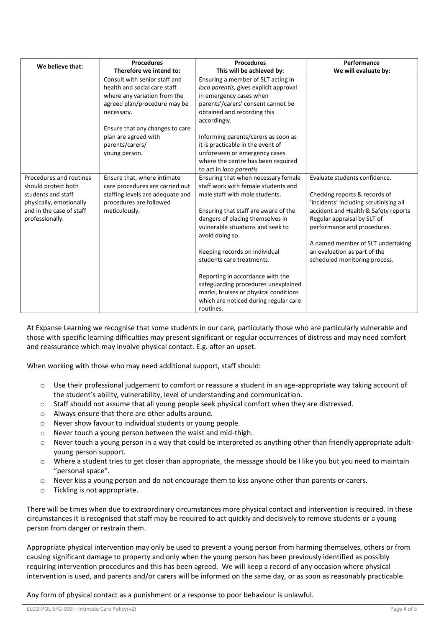| We believe that:         | <b>Procedures</b>                | <b>Procedures</b>                                                     | Performance                            |  |
|--------------------------|----------------------------------|-----------------------------------------------------------------------|----------------------------------------|--|
|                          | Therefore we intend to:          | This will be achieved by:                                             | We will evaluate by:                   |  |
|                          | Consult with senior staff and    | Ensuring a member of SLT acting in                                    |                                        |  |
|                          | health and social care staff     | loco parentis, gives explicit approval                                |                                        |  |
|                          | where any variation from the     | in emergency cases when                                               |                                        |  |
|                          | agreed plan/procedure may be     | parents'/carers' consent cannot be                                    |                                        |  |
|                          | necessary.                       | obtained and recording this                                           |                                        |  |
|                          |                                  | accordingly.                                                          |                                        |  |
|                          | Ensure that any changes to care  |                                                                       |                                        |  |
|                          | plan are agreed with             | Informing parents/carers as soon as                                   |                                        |  |
|                          | parents/carers/                  | it is practicable in the event of                                     |                                        |  |
|                          | young person.                    | unforeseen or emergency cases                                         |                                        |  |
|                          |                                  | where the centre has been required                                    |                                        |  |
|                          |                                  | to act in loco parentis                                               |                                        |  |
| Procedures and routines  | Ensure that, where intimate      | Ensuring that when necessary female                                   | Evaluate students confidence.          |  |
| should protect both      | care procedures are carried out  | staff work with female students and                                   |                                        |  |
| students and staff       | staffing levels are adequate and | male staff with male students.                                        | Checking reports & records of          |  |
| physically, emotionally  | procedures are followed          |                                                                       | 'incidents' including scrutinising all |  |
| and in the case of staff | meticulously.                    | Ensuring that staff are aware of the                                  | accident and Health & Safety reports   |  |
| professionally.          |                                  | dangers of placing themselves in<br>vulnerable situations and seek to | Regular appraisal by SLT of            |  |
|                          |                                  |                                                                       | performance and procedures.            |  |
|                          |                                  | avoid doing so.                                                       | A named member of SLT undertaking      |  |
|                          |                                  | Keeping records on individual                                         | an evaluation as part of the           |  |
|                          |                                  | students care treatments.                                             | scheduled monitoring process.          |  |
|                          |                                  |                                                                       |                                        |  |
|                          |                                  | Reporting in accordance with the                                      |                                        |  |
|                          |                                  | safeguarding procedures unexplained                                   |                                        |  |
|                          |                                  | marks, bruises or physical conditions                                 |                                        |  |
|                          |                                  | which are noticed during regular care                                 |                                        |  |
|                          |                                  | routines.                                                             |                                        |  |

At Expanse Learning we recognise that some students in our care, particularly those who are particularly vulnerable and those with specific learning difficulties may present significant or regular occurrences of distress and may need comfort and reassurance which may involve physical contact. E.g. after an upset.

When working with those who may need additional support, staff should:

- o Use their professional judgement to comfort or reassure a student in an age-appropriate way taking account of the student's ability, vulnerability, level of understanding and communication.
- $\circ$  Staff should not assume that all young people seek physical comfort when they are distressed.
- o Always ensure that there are other adults around.
- o Never show favour to individual students or young people.
- o Never touch a young person between the waist and mid-thigh.
- $\circ$  Never touch a young person in a way that could be interpreted as anything other than friendly appropriate adultyoung person support.
- $\circ$  Where a student tries to get closer than appropriate, the message should be I like you but you need to maintain "personal space".
- $\circ$  Never kiss a young person and do not encourage them to kiss anyone other than parents or carers.
- o Tickling is not appropriate.

There will be times when due to extraordinary circumstances more physical contact and intervention is required. In these circumstances it is recognised that staff may be required to act quickly and decisively to remove students or a young person from danger or restrain them.

Appropriate physical intervention may only be used to prevent a young person from harming themselves, others or from causing significant damage to property and only when the young person has been previously identified as possibly requiring intervention procedures and this has been agreed. We will keep a record of any occasion where physical intervention is used, and parents and/or carers will be informed on the same day, or as soon as reasonably practicable.

Any form of physical contact as a punishment or a response to poor behaviour is unlawful.